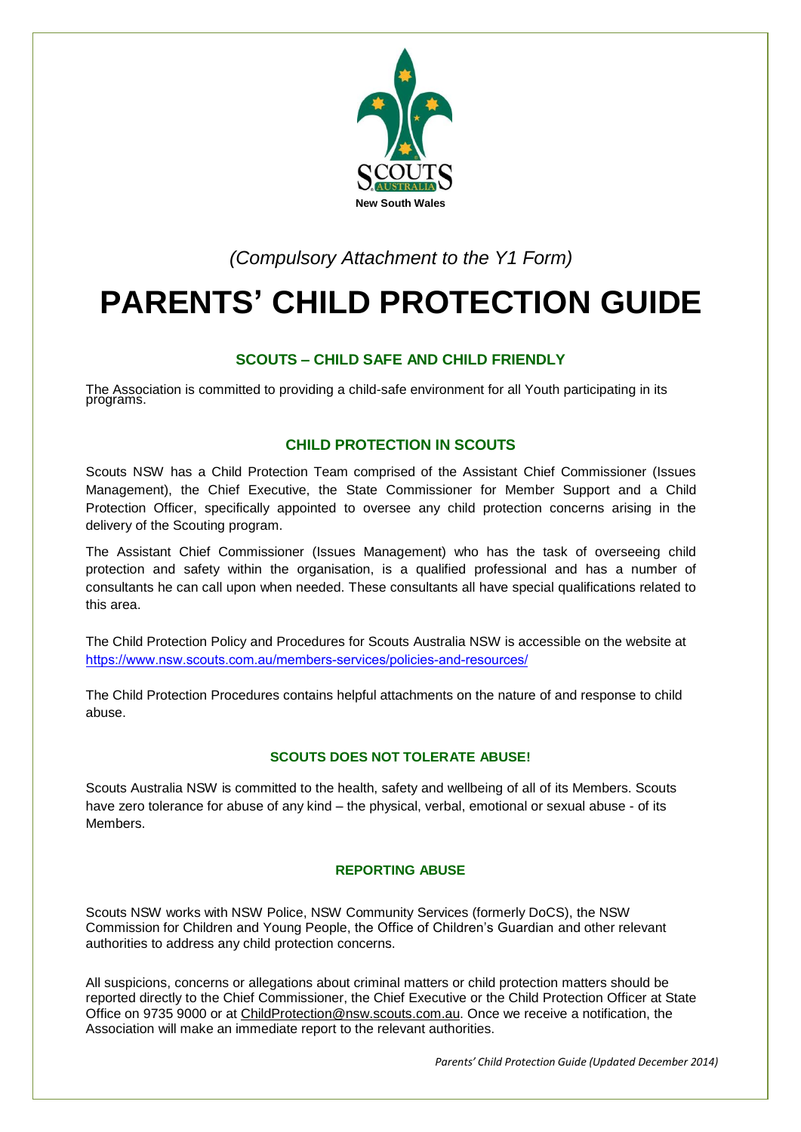

*(Compulsory Attachment to the Y1 Form)* 

# **PARENTS' CHILD PROTECTION GUIDE**

# **SCOUTS – CHILD SAFE AND CHILD FRIENDLY**

The Association is committed to providing a child-safe environment for all Youth participating in its programs.

## **CHILD PROTECTION IN SCOUTS**

Scouts NSW has a Child Protection Team comprised of the Assistant Chief Commissioner (Issues Management), the Chief Executive, the State Commissioner for Member Support and a Child Protection Officer, specifically appointed to oversee any child protection concerns arising in the delivery of the Scouting program.

The Assistant Chief Commissioner (Issues Management) who has the task of overseeing child protection and safety within the organisation, is a qualified professional and has a number of consultants he can call upon when needed. These consultants all have special qualifications related to this area.

The Child Protection Policy and Procedures for Scouts Australia NSW is accessible on the website at [https://www.nsw.scouts.com.au/members-services/policies-an](http://www.nsw.scouts.com.au/leaders/resources-and-policies)[d-resources/](https://www.nsw.scouts.com.au/members-services/policies-and-resources/)

The Child Protection Procedures contains helpful attachments on the nature of and response to child abuse.

## **SCOUTS DOES NOT TOLERATE ABUSE!**

Scouts Australia NSW is committed to the health, safety and wellbeing of all of its Members. Scouts have zero tolerance for abuse of any kind – the physical, verbal, emotional or sexual abuse - of its **Members** 

## **REPORTING ABUSE**

Scouts NSW works with NSW Police, NSW Community Services (formerly DoCS), the NSW Commission for Children and Young People, the Office of Children's Guardian and other relevant authorities to address any child protection concerns.

All suspicions, concerns or allegations about criminal matters or child protection matters should be reported directly to the Chief Commissioner, the Chief Executive or the Child Protection Officer at State Office on 9735 9000 or at [ChildProtection@nsw.scouts.com.au.](mailto:ChildProtection@nsw.scouts.com.au) Once we receive a notification, the Association will make an immediate report to the relevant authorities.

*Parents' Child Protection Guide (Updated December 2014)*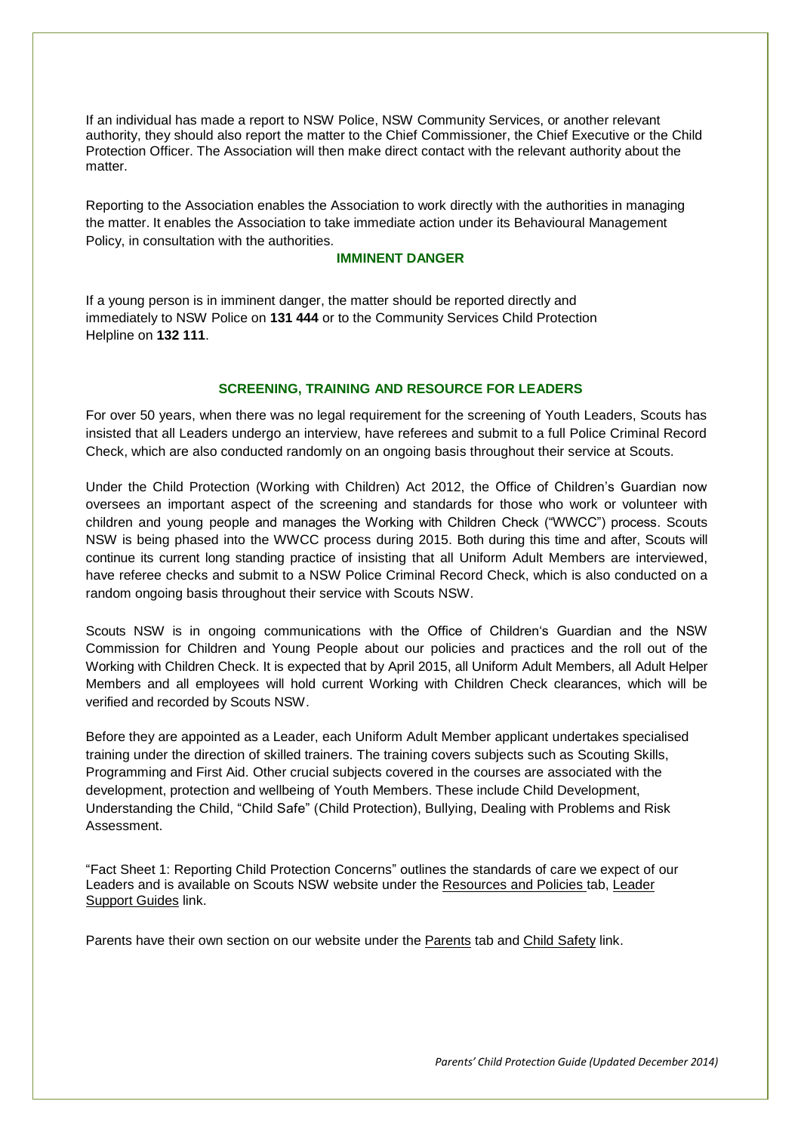If an individual has made a report to NSW Police, NSW Community Services, or another relevant authority, they should also report the matter to the Chief Commissioner, the Chief Executive or the Child Protection Officer. The Association will then make direct contact with the relevant authority about the matter.

Reporting to the Association enables the Association to work directly with the authorities in managing the matter. It enables the Association to take immediate action under its Behavioural Management Policy, in consultation with the authorities.

#### **IMMINENT DANGER**

If a young person is in imminent danger, the matter should be reported directly and immediately to NSW Police on **131 444** or to the Community Services Child Protection Helpline on **132 111**.

#### **SCREENING, TRAINING AND RESOURCE FOR LEADERS**

For over 50 years, when there was no legal requirement for the screening of Youth Leaders, Scouts has insisted that all Leaders undergo an interview, have referees and submit to a full Police Criminal Record Check, which are also conducted randomly on an ongoing basis throughout their service at Scouts.

Under the Child Protection (Working with Children) Act 2012, the Office of Children's Guardian now oversees an important aspect of the screening and standards for those who work or volunteer with children and young people and manages the Working with Children Check ("WWCC") process. Scouts NSW is being phased into the WWCC process during 2015. Both during this time and after, Scouts will continue its current long standing practice of insisting that all Uniform Adult Members are interviewed, have referee checks and submit to a NSW Police Criminal Record Check, which is also conducted on a random ongoing basis throughout their service with Scouts NSW.

Scouts NSW is in ongoing communications with the Office of Children's Guardian and the NSW Commission for Children and Young People about our policies and practices and the roll out of the Working with Children Check. It is expected that by April 2015, all Uniform Adult Members, all Adult Helper Members and all employees will hold current Working with Children Check clearances, which will be verified and recorded by Scouts NSW.

Before they are appointed as a Leader, each Uniform Adult Member applicant undertakes specialised training under the direction of skilled trainers. The training covers subjects such as Scouting Skills, Programming and First Aid. Other crucial subjects covered in the courses are associated with the development, protection and wellbeing of Youth Members. These include Child Development, Understanding the Child, "Child Safe" (Child Protection), Bullying, Dealing with Problems and Risk Assessment.

"Fact Sheet 1: Reporting Child Protection Concerns" outlines the standards of care we expect of our Leaders and is available on Scouts NSW website under the Resources and Policies tab, Leader Support Guides link.

Parents have their own section on our website under the Parents tab and Child Safety link.